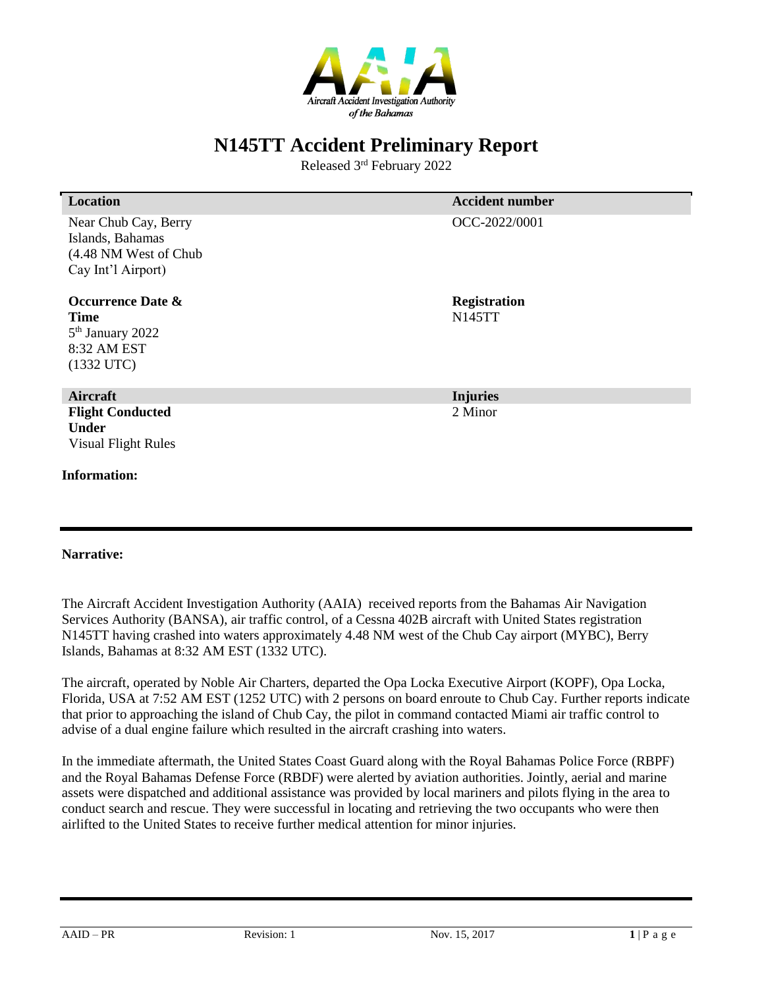

Released 3 rd February 2022

| <b>Location</b>                                                                                            | <b>Accident number</b>               |
|------------------------------------------------------------------------------------------------------------|--------------------------------------|
| Near Chub Cay, Berry<br>Islands, Bahamas<br>(4.48 NM West of Chub<br>Cay Int'l Airport)                    | OCC-2022/0001                        |
| <b>Occurrence Date &amp;</b><br><b>Time</b><br>5 <sup>th</sup> January 2022<br>8:32 AM EST<br>$(1332$ UTC) | <b>Registration</b><br><b>N145TT</b> |
| Aircraft                                                                                                   | <b>Injuries</b>                      |
| <b>Flight Conducted</b><br><b>Under</b><br><b>Visual Flight Rules</b><br><b>Information:</b>               | 2 Minor                              |

#### **Narrative:**

The Aircraft Accident Investigation Authority (AAIA) received reports from the Bahamas Air Navigation Services Authority (BANSA), air traffic control, of a Cessna 402B aircraft with United States registration N145TT having crashed into waters approximately 4.48 NM west of the Chub Cay airport (MYBC), Berry Islands, Bahamas at 8:32 AM EST (1332 UTC).

The aircraft, operated by Noble Air Charters, departed the Opa Locka Executive Airport (KOPF), Opa Locka, Florida, USA at 7:52 AM EST (1252 UTC) with 2 persons on board enroute to Chub Cay. Further reports indicate that prior to approaching the island of Chub Cay, the pilot in command contacted Miami air traffic control to advise of a dual engine failure which resulted in the aircraft crashing into waters.

In the immediate aftermath, the United States Coast Guard along with the Royal Bahamas Police Force (RBPF) and the Royal Bahamas Defense Force (RBDF) were alerted by aviation authorities. Jointly, aerial and marine assets were dispatched and additional assistance was provided by local mariners and pilots flying in the area to conduct search and rescue. They were successful in locating and retrieving the two occupants who were then airlifted to the United States to receive further medical attention for minor injuries.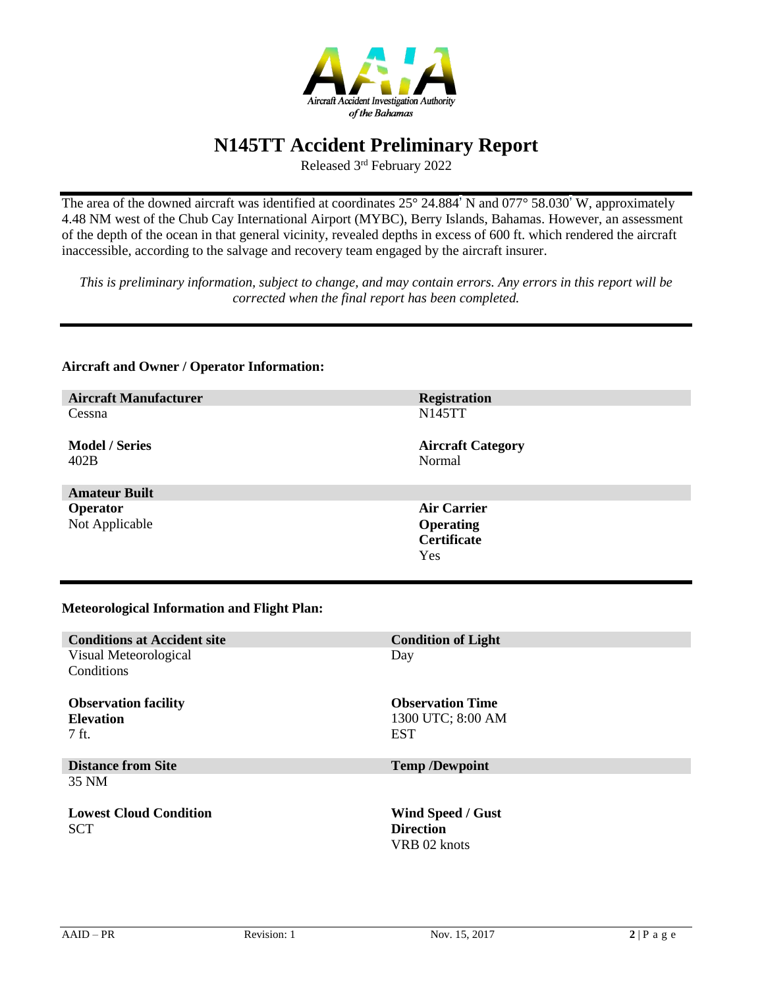

Released 3 rd February 2022

The area of the downed aircraft was identified at coordinates 25° 24.884' N and 077° 58.030' W, approximately 4.48 NM west of the Chub Cay International Airport (MYBC), Berry Islands, Bahamas. However, an assessment of the depth of the ocean in that general vicinity, revealed depths in excess of 600 ft. which rendered the aircraft inaccessible, according to the salvage and recovery team engaged by the aircraft insurer.

*This is preliminary information, subject to change, and may contain errors. Any errors in this report will be corrected when the final report has been completed.*

### **Aircraft Manufacturer Registration** Cessna **Model / Series** 402B N145TT **Aircraft Category** Normal **Amateur Built Operator** Not Applicable **Air Carrier Operating Certificate** Yes **Meteorological Information and Flight Plan: Conditions at Accident site Condition of Light** Visual Meteorological **Conditions** Day

**Observation facility Elevation** 7 ft. **Observation Time** 1300 UTC; 8:00 AM EST **Distance from Site Temp /Dewpoint** 35 NM **Lowest Cloud Condition SCT Wind Speed / Gust Direction** VRB 02 knots

**Aircraft and Owner / Operator Information:**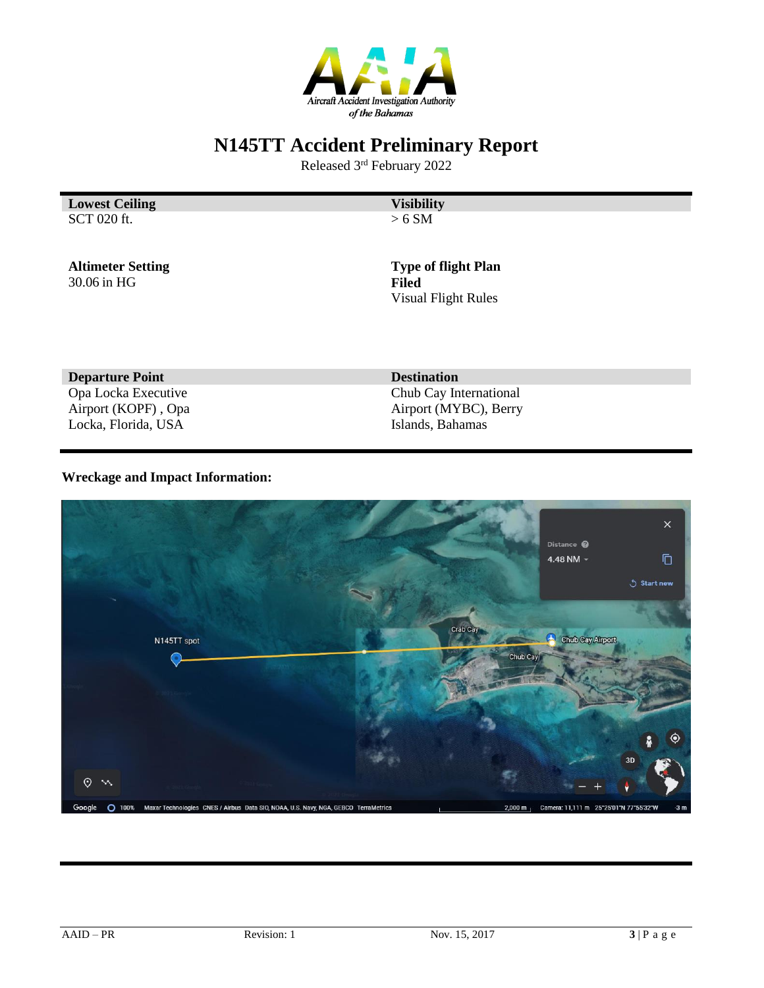

Released 3 rd February 2022

**Lowest Ceiling Visibility** SCT 020 ft.

 $> 6$  SM

**Altimeter Setting** 30.06 in HG

**Type of flight Plan Filed** Visual Flight Rules

**Departure Point Destination** Opa Locka Executive Airport (KOPF) , Opa Locka, Florida, USA

Chub Cay International Airport (MYBC), Berry Islands, Bahamas

### **Wreckage and Impact Information:**